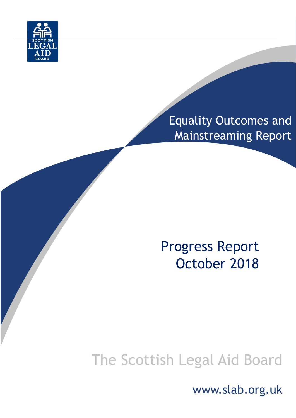

## Equality Outcomes and Mainstreaming Report

## Progress Report October 2018

# The Scottish Legal Aid Board

www.slab.org.uk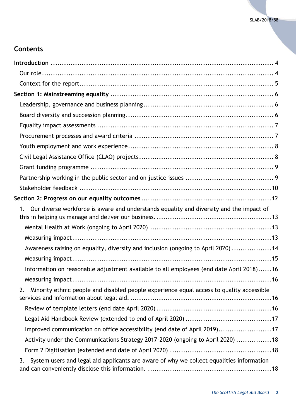## **Contents**

| Our diverse workforce is aware and understands equality and diversity and the impact of<br>1.  |
|------------------------------------------------------------------------------------------------|
|                                                                                                |
|                                                                                                |
| Awareness raising on equality, diversity and inclusion (ongoing to April 2020) 14              |
|                                                                                                |
| Information on reasonable adjustment available to all employees (end date April 2018)16        |
|                                                                                                |
| Minority ethnic people and disabled people experience equal access to quality accessible<br>2. |
|                                                                                                |
|                                                                                                |
| Improved communication on office accessibility (end date of April 2019)17                      |
| Activity under the Communications Strategy 2017-2020 (ongoing to April 2020)  18               |
|                                                                                                |
| System users and legal aid applicants are aware of why we collect equalities information<br>3. |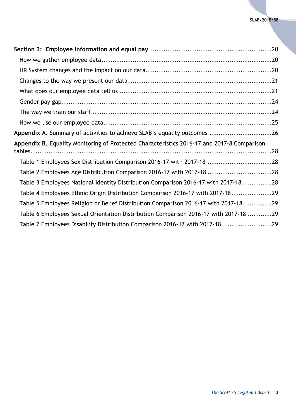| Appendix A. Summary of activities to achieve SLAB's equality outcomes 26                   |
|--------------------------------------------------------------------------------------------|
|                                                                                            |
| Appendix B. Equality Monitoring of Protected Characteristics 2016-17 and 2017-8 Comparison |
| Table 1 Employees Sex Distribution Comparison 2016-17 with 2017-18 28                      |
| Table 2 Employees Age Distribution Comparison 2016-17 with 2017-18 28                      |
| Table 3 Employees National Identity Distribution Comparison 2016-17 with 2017-18 28        |
| Table 4 Employees Ethnic Origin Distribution Comparison 2016-17 with 2017-1829             |
| Table 5 Employees Religion or Belief Distribution Comparison 2016-17 with 2017-1829        |
| Table 6 Employees Sexual Orientation Distribution Comparison 2016-17 with 2017-18 29       |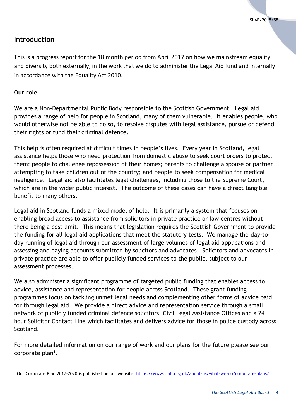## <span id="page-3-0"></span>**Introduction**

This is a progress report for the 18 month period from April 2017 on how we mainstream equality and diversity both externally, in the work that we do to administer the Legal Aid fund and internally in accordance with the Equality Act 2010.

#### <span id="page-3-1"></span>**Our role**

We are a Non-Departmental Public Body responsible to the Scottish Government. Legal aid provides a range of help for people in Scotland, many of them vulnerable. It enables people, who would otherwise not be able to do so, to resolve disputes with legal assistance, pursue or defend their rights or fund their criminal defence.

This help is often required at difficult times in people's lives. Every year in Scotland, legal assistance helps those who need protection from domestic abuse to seek court orders to protect them; people to challenge repossession of their homes; parents to challenge a spouse or partner attempting to take children out of the country; and people to seek compensation for medical negligence. Legal aid also facilitates legal challenges, including those to the Supreme Court, which are in the wider public interest. The outcome of these cases can have a direct tangible benefit to many others.

Legal aid in Scotland funds a mixed model of help. It is primarily a system that focuses on enabling broad access to assistance from solicitors in private practice or law centres without there being a cost limit. This means that legislation requires the Scottish Government to provide the funding for all legal aid applications that meet the statutory tests. We manage the day-today running of legal aid through our assessment of large volumes of legal aid applications and assessing and paying accounts submitted by solicitors and advocates. Solicitors and advocates in private practice are able to offer publicly funded services to the public, subject to our assessment processes.

We also administer a significant programme of targeted public funding that enables access to advice, assistance and representation for people across Scotland. These grant funding programmes focus on tackling unmet legal needs and complementing other forms of advice paid for through legal aid. We provide a direct advice and representation service through a small network of publicly funded criminal defence solicitors, Civil Legal Assistance Offices and a 24 hour Solicitor Contact Line which facilitates and delivers advice for those in police custody across Scotland.

For more detailed information on our range of work and our plans for the future please see our corporate plan<sup>1</sup>.

l <sup>1</sup> Our Corporate Plan 2017-2020 is published on our website: https://www.slab.org.uk/about-us/what-we-do/corporate-plans/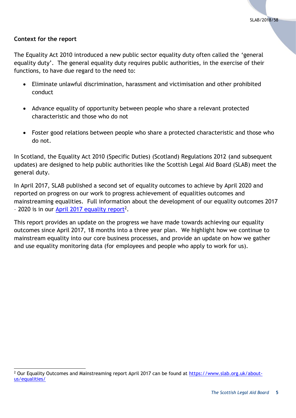#### <span id="page-4-0"></span>**Context for the report**

l

The Equality Act 2010 introduced a new public sector equality duty often called the 'general equality duty'. The general equality duty requires public authorities, in the exercise of their functions, to have due regard to the need to:

- Eliminate unlawful discrimination, harassment and victimisation and other prohibited conduct
- Advance equality of opportunity between people who share a relevant protected characteristic and those who do not
- Foster good relations between people who share a protected characteristic and those who do not.

In Scotland, the Equality Act 2010 (Specific Duties) (Scotland) Regulations 2012 (and subsequent updates) are designed to help public authorities like the Scottish Legal Aid Board (SLAB) meet the general duty.

In April 2017, SLAB published a second set of equality outcomes to achieve by April 2020 and reported on progress on our work to progress achievement of equalities outcomes and mainstreaming equalities. Full information about the development of our equality outcomes 2017 - 2020 is in our [April 2017 equality report](https://www.slab.org.uk/export/sites/default/common/documents/about_us/equality/2017/Equalities_Mainstreaming_and_Equality_Outcomes_Progress_Report_April_2017FINAL.pdf)<sup>2</sup>.

This report provides an update on the progress we have made towards achieving our equality outcomes since April 2017, 18 months into a three year plan. We highlight how we continue to mainstream equality into our core business processes, and provide an update on how we gather and use equality monitoring data (for employees and people who apply to work for us).

<sup>&</sup>lt;sup>2</sup> Our Equality Outcomes and Mainstreaming report April 2017 can be found at [https://www.slab.org.uk/about](https://www.slab.org.uk/about-us/equalities/)[us/equalities/](https://www.slab.org.uk/about-us/equalities/)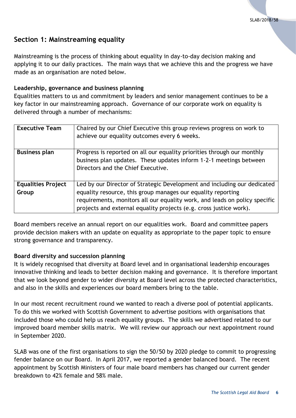## <span id="page-5-0"></span>**Section 1: Mainstreaming equality**

Mainstreaming is the process of thinking about equality in day-to-day decision making and applying it to our daily practices. The main ways that we achieve this and the progress we have made as an organisation are noted below.

#### <span id="page-5-1"></span>**Leadership, governance and business planning**

Equalities matters to us and commitment by leaders and senior management continues to be a key factor in our mainstreaming approach. Governance of our corporate work on equality is delivered through a number of mechanisms:

| <b>Executive Team</b>     | Chaired by our Chief Executive this group reviews progress on work to<br>achieve our equality outcomes every 6 weeks. |
|---------------------------|-----------------------------------------------------------------------------------------------------------------------|
| <b>Business plan</b>      | Progress is reported on all our equality priorities through our monthly                                               |
|                           | business plan updates. These updates inform 1-2-1 meetings between                                                    |
|                           | Directors and the Chief Executive.                                                                                    |
|                           |                                                                                                                       |
| <b>Equalities Project</b> | Led by our Director of Strategic Development and including our dedicated                                              |
| Group                     | equality resource, this group manages our equality reporting                                                          |
|                           | requirements, monitors all our equality work, and leads on policy specific                                            |
|                           | projects and external equality projects (e.g. cross justice work).                                                    |

Board members receive an annual report on our equalities work. Board and committee papers provide decision makers with an update on equality as appropriate to the paper topic to ensure strong governance and transparency.

#### <span id="page-5-2"></span>**Board diversity and succession planning**

It is widely recognised that diversity at Board level and in organisational leadership encourages innovative thinking and leads to better decision making and governance. It is therefore important that we look beyond gender to wider diversity at Board level across the protected characteristics, and also in the skills and experiences our board members bring to the table.

In our most recent recruitment round we wanted to reach a diverse pool of potential applicants. To do this we worked with Scottish Government to advertise positions with organisations that included those who could help us reach equality groups. The skills we advertised related to our improved board member skills matrix. We will review our approach our next appointment round in September 2020.

SLAB was one of the first organisations to sign the 50/50 by 2020 pledge to commit to progressing fender balance on our Board. In April 2017, we reported a gender balanced board. The recent appointment by Scottish Ministers of four male board members has changed our current gender breakdown to 42% female and 58% male.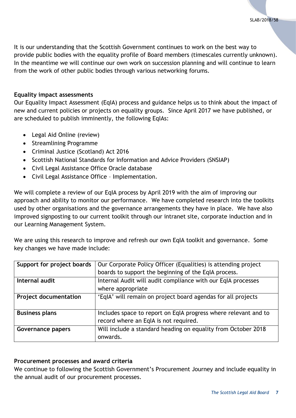It is our understanding that the Scottish Government continues to work on the best way to provide public bodies with the equality profile of Board members (timescales currently unknown). In the meantime we will continue our own work on succession planning and will continue to learn from the work of other public bodies through various networking forums.

#### <span id="page-6-0"></span>**Equality impact assessments**

Our Equality Impact Assessment (EqIA) process and guidance helps us to think about the impact of new and current policies or projects on equality groups. Since April 2017 we have published, or are scheduled to publish imminently, the following EqIAs:

- Legal Aid Online (review)
- Streamlining Programme
- Criminal Justice (Scotland) Act 2016
- Scottish National Standards for Information and Advice Providers (SNSIAP)
- Civil Legal Assistance Office Oracle database
- Civil Legal Assistance Office Implementation.

We will complete a review of our EqIA process by April 2019 with the aim of improving our approach and ability to monitor our performance. We have completed research into the toolkits used by other organisations and the governance arrangements they have in place. We have also improved signposting to our current toolkit through our intranet site, corporate induction and in our Learning Management System.

We are using this research to improve and refresh our own EqIA toolkit and governance. Some key changes we have made include:

| Support for project boards   | Our Corporate Policy Officer (Equalities) is attending project  |
|------------------------------|-----------------------------------------------------------------|
|                              | boards to support the beginning of the EqIA process.            |
| Internal audit               | Internal Audit will audit compliance with our EqIA processes    |
|                              | where appropriate                                               |
| <b>Project documentation</b> | 'EqIA' will remain on project board agendas for all projects    |
|                              |                                                                 |
| <b>Business plans</b>        | Includes space to report on EqIA progress where relevant and to |
|                              | record where an EqIA is not required.                           |
| Governance papers            | Will include a standard heading on equality from October 2018   |
|                              | onwards.                                                        |

#### <span id="page-6-1"></span>**Procurement processes and award criteria**

We continue to following the Scottish Government's Procurement Journey and include equality in the annual audit of our procurement processes.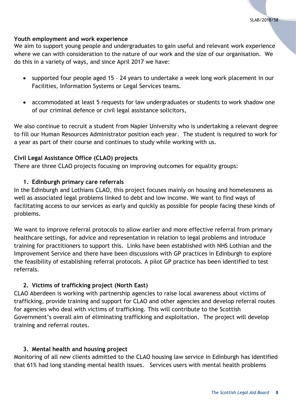#### <span id="page-7-0"></span>**Youth employment and work experience**

We aim to support young people and undergraduates to gain useful and relevant work experience where we can with consideration to the nature of our work and the size of our organisation. We do this in a variety of ways, and since April 2017 we have:

- supported four people aged 15 24 years to undertake a week long work placement in our Facilities, Information Systems or Legal Services teams.
- accommodated at least 5 requests for law undergraduates or students to work shadow one of our criminal defence or civil legal assistance solicitors,

We also continue to recruit a student from Napier University who is undertaking a relevant degree to fill our Human Resources Administrator position each year. The student is required to work for a year as part of their course and continues to study while working with us.

## <span id="page-7-1"></span>**Civil Legal Assistance Office (CLAO) projects**

There are three CLAO projects focusing on improving outcomes for equality groups:

## **1. Edinburgh primary care referrals**

In the Edinburgh and Lothians CLAO, this project focuses mainly on housing and homelessness as well as associated legal problems linked to debt and low income. We want to find ways of facilitating access to our services as early and quickly as possible for people facing these kinds of problems.

We want to improve referral protocols to allow earlier and more effective referral from primary healthcare settings, for advice and representation in relation to legal problems and introduce training for practitioners to support this. Links have been established with NHS Lothian and the Improvement Service and there have been discussions with GP practices in Edinburgh to explore the feasibility of establishing referral protocols. A pilot GP practice has been identified to test referrals.

## **2. Victims of trafficking project (North East)**

CLAO Aberdeen is working with partnership agencies to raise local awareness about victims of trafficking, provide training and support for CLAO and other agencies and develop referral routes for agencies who deal with victims of trafficking. This will contribute to the Scottish Government's overall aim of eliminating trafficking and exploitation. The project will develop training and referral routes.

## **3. Mental health and housing project**

Monitoring of all new clients admitted to the CLAO housing law service in Edinburgh has identified that 61% had long standing mental health issues. Services users with mental health problems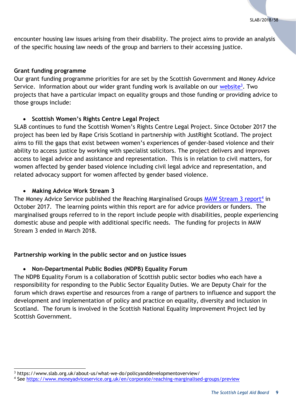encounter housing law issues arising from their disability. The project aims to provide an analysis of the specific housing law needs of the group and barriers to their accessing justice.

#### <span id="page-8-0"></span>**Grant funding programme**

Our grant funding programme priorities for are set by the Scottish Government and Money Advice Service. Information about our wider grant funding work is available on our [website](https://www.slab.org.uk/about-us/what-we-do/policyanddevelopmentoverview/)<sup>3</sup>. Two projects that have a particular impact on equality groups and those funding or providing advice to those groups include:

## **Scottish Women's Rights Centre Legal Project**

SLAB continues to fund the Scottish Women's Rights Centre Legal Project. Since October 2017 the project has been led by Rape Crisis Scotland in partnership with JustRight Scotland. The project aims to fill the gaps that exist between women's experiences of gender-based violence and their ability to access justice by working with specialist solicitors. The project delivers and improves access to legal advice and assistance and representation. This is in relation to civil matters, for women affected by gender based violence including civil legal advice and representation, and related advocacy support for women affected by gender based violence.

## **Making Advice Work Stream 3**

The Money Advice Service published the Reaching Marginalised Groups [MAW Stream 3 report](https://www.moneyadviceservice.org.uk/en/corporate/reaching-marginalised-groups/preview)<sup>4</sup> in October 2017. The learning points within this report are for advice providers or funders. The marginalised groups referred to in the report include people with disabilities, people experiencing domestic abuse and people with additional specific needs. The funding for projects in MAW Stream 3 ended in March 2018.

## <span id="page-8-1"></span>**Partnership working in the public sector and on justice issues**

## **Non-Departmental Public Bodies (NDPB) Equality Forum**

The NDPB Equality Forum is a collaboration of Scottish public sector bodies who each have a responsibility for responding to the Public Sector Equality Duties. We are Deputy Chair for the forum which draws expertise and resources from a range of partners to influence and support the development and implementation of policy and practice on equality, diversity and inclusion in Scotland. The forum is involved in the Scottish National Equality Improvement Project led by Scottish Government.

l <sup>3</sup> https://www.slab.org.uk/about-us/what-we-do/policyanddevelopmentoverview/

<sup>4</sup> See<https://www.moneyadviceservice.org.uk/en/corporate/reaching-marginalised-groups/preview>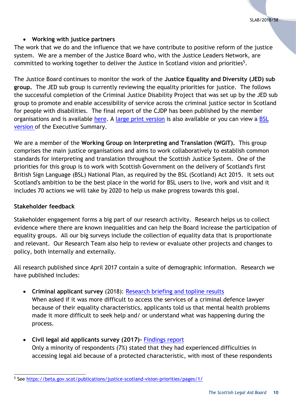## **Working with justice partners**

The work that we do and the influence that we have contribute to positive reform of the justice system. We are a member of the Justice Board who, with the Justice Leaders Network, are committed to working together to deliver the Justice in Scotland vision and priorities<sup>5</sup>.

The Justice Board continues to monitor the work of the **Justice Equality and Diversity (JED) sub group.** The JED sub group is currently reviewing the equality priorities for justice. The follows the successful completion of the Criminal Justice Disability Project that was set up by the JED sub group to promote and enable accessibility of service across the criminal justice sector in Scotland for people with disabilities. The final report of the CJDP has been published by the member organisations and is available [here.](https://www.slab.org.uk/export/sites/default/common/documents/about_us/equality/2018_06_18_CJDP_Report_FINAL.docx) A [large print version](https://www.slab.org.uk/export/sites/default/common/documents/about_us/equality/2018_06_18_CJDP_Report_FINAL_Large_print.docx) is also available or you can view a BSL [version o](https://vimeo.com/282320357/b3c6c276bf)f the Executive Summary.

We are a member of the **Working Group on Interpreting and Translation (WGIT).** This group comprises the main justice organisations and aims to work collaboratively to establish common standards for interpreting and translation throughout the Scottish Justice System. One of the priorities for this group is to work with Scottish Government on the delivery of Scotland's first British Sign Language (BSL) National Plan, as required by the BSL (Scotland) Act 2015. It sets out Scotland's ambition to be the best place in the world for BSL users to live, work and visit and it includes 70 actions we will take by 2020 to help us make progress towards this goal.

## <span id="page-9-0"></span>**Stakeholder feedback**

Stakeholder engagement forms a big part of our research activity. Research helps us to collect evidence where there are known inequalities and can help the Board increase the participation of equality groups. All our big surveys include the collection of equality data that is proportionate and relevant. Our Research Team also help to review or evaluate other projects and changes to policy, both internally and externally.

All research published since April 2017 contain a suite of demographic information. Research we have published includes:

**Criminal applicant survey** (2018): [Research briefing and topline results](https://www.slab.org.uk/export/sites/default/common/documents/Research/2018_Criminal_applicant_survey_Research_Briefing.pdf)

When asked if it was more difficult to access the services of a criminal defence lawyer because of their equality characteristics, applicants told us that mental health problems made it more difficult to seek help and/ or understand what was happening during the process.

 **Civil legal aid applicants survey (2017)-** [Findings report](https://www.slab.org.uk/export/sites/default/common/documents/Research/Civil_applicants_survey_2017_FINAL.pdf) Only a minority of respondents (7%) stated that they had experienced difficulties in accessing legal aid because of a protected characteristic, with most of these respondents

l <sup>5</sup> See<https://beta.gov.scot/publications/justice-scotland-vision-priorities/pages/1/>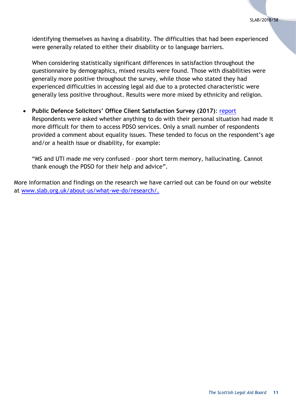identifying themselves as having a disability. The difficulties that had been experienced were generally related to either their disability or to language barriers.

When considering statistically significant differences in satisfaction throughout the questionnaire by demographics, mixed results were found. Those with disabilities were generally more positive throughout the survey, while those who stated they had experienced difficulties in accessing legal aid due to a protected characteristic were generally less positive throughout. Results were more mixed by ethnicity and religion.

 **Public Defence Solicitors' Office Client Satisfaction Survey (2017)**: [report](https://www.slab.org.uk/export/sites/default/common/documents/Research/PDSO_Client_Survey_2017.pdf) Respondents were asked whether anything to do with their personal situation had made it more difficult for them to access PDSO services. Only a small number of respondents provided a comment about equality issues. These tended to focus on the respondent's age and/or a health issue or disability, for example:

"MS and UTI made me very confused – poor short term memory, hallucinating. Cannot thank enough the PDSO for their help and advice".

More information and findings on the research we have carried out can be found on our website at [www.slab.org.uk/about-us/what-we-do/research/.](http://www.slab.org.uk/about-us/what-we-do/research/)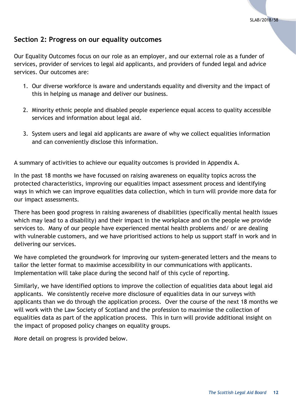## <span id="page-11-0"></span>**Section 2: Progress on our equality outcomes**

Our Equality Outcomes focus on our role as an employer, and our external role as a funder of services, provider of services to legal aid applicants, and providers of funded legal and advice services. Our outcomes are:

- 1. Our diverse workforce is aware and understands equality and diversity and the impact of this in helping us manage and deliver our business.
- 2. Minority ethnic people and disabled people experience equal access to quality accessible services and information about legal aid.
- 3. System users and legal aid applicants are aware of why we collect equalities information and can conveniently disclose this information.

A summary of activities to achieve our equality outcomes is provided in Appendix A.

In the past 18 months we have focussed on raising awareness on equality topics across the protected characteristics, improving our equalities impact assessment process and identifying ways in which we can improve equalities data collection, which in turn will provide more data for our impact assessments.

There has been good progress in raising awareness of disabilities (specifically mental health issues which may lead to a disability) and their impact in the workplace and on the people we provide services to. Many of our people have experienced mental health problems and/ or are dealing with vulnerable customers, and we have prioritised actions to help us support staff in work and in delivering our services.

We have completed the groundwork for improving our system-generated letters and the means to tailor the letter format to maximise accessibility in our communications with applicants. Implementation will take place during the second half of this cycle of reporting.

Similarly, we have identified options to improve the collection of equalities data about legal aid applicants. We consistently receive more disclosure of equalities data in our surveys with applicants than we do through the application process. Over the course of the next 18 months we will work with the Law Society of Scotland and the profession to maximise the collection of equalities data as part of the application process. This in turn will provide additional insight on the impact of proposed policy changes on equality groups.

More detail on progress is provided below.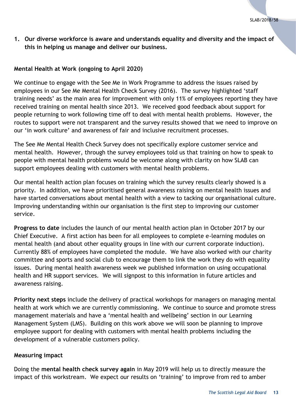## <span id="page-12-0"></span>**1. Our diverse workforce is aware and understands equality and diversity and the impact of this in helping us manage and deliver our business.**

#### <span id="page-12-1"></span>**Mental Health at Work (ongoing to April 2020)**

We continue to engage with the See Me in Work Programme to address the issues raised by employees in our See Me Mental Health Check Survey (2016). The survey highlighted 'staff training needs' as the main area for improvement with only 11% of employees reporting they have received training on mental health since 2013. We received good feedback about support for people returning to work following time off to deal with mental health problems. However, the routes to support were not transparent and the survey results showed that we need to improve on our 'in work culture' and awareness of fair and inclusive recruitment processes.

The See Me Mental Health Check Survey does not specifically explore customer service and mental health. However, through the survey employees told us that training on how to speak to people with mental health problems would be welcome along with clarity on how SLAB can support employees dealing with customers with mental health problems.

Our mental health action plan focuses on training which the survey results clearly showed is a priority. In addition, we have prioritised general awareness raising on mental health issues and have started conversations about mental health with a view to tacking our organisational culture. Improving understanding within our organisation is the first step to improving our customer service.

**Progress to date** includes the launch of our mental health action plan in October 2017 by our Chief Executive. A first action has been for all employees to complete e-learning modules on mental health (and about other equality groups in line with our current corporate induction). Currently 88% of employees have completed the module. We have also worked with our charity committee and sports and social club to encourage them to link the work they do with equality issues. During mental health awareness week we published information on using occupational health and HR support services. We will signpost to this information in future articles and awareness raising.

**Priority next steps** include the delivery of practical workshops for managers on managing mental health at work which we are currently commissioning. We continue to source and promote stress management materials and have a 'mental health and wellbeing' section in our Learning Management System (LMS). Building on this work above we will soon be planning to improve employee support for dealing with customers with mental health problems including the development of a vulnerable customers policy.

#### <span id="page-12-2"></span>**Measuring impact**

Doing the **mental health check survey again** in May 2019 will help us to directly measure the impact of this workstream. We expect our results on 'training' to improve from red to amber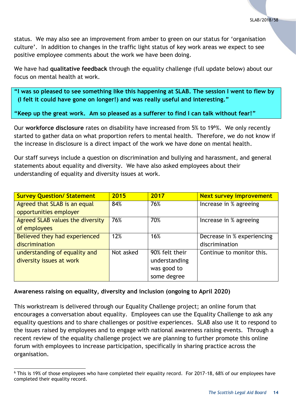status. We may also see an improvement from amber to green on our status for 'organisation culture'. In addition to changes in the traffic light status of key work areas we expect to see positive employee comments about the work we have been doing.

We have had **qualitative feedback** through the equality challenge (full update below) about our focus on mental health at work.

**"I was so pleased to see something like this happening at SLAB. The session I went to flew by (I felt it could have gone on longer!) and was really useful and interesting."**

**"Keep up the great work. Am so pleased as a sufferer to find I can talk without fear!"**

Our **workforce disclosure** rates on disability have increased from 5% to 19<sup>6</sup>%. We only recently started to gather data on what proportion refers to mental health. Therefore, we do not know if the increase in disclosure is a direct impact of the work we have done on mental health.

Our staff surveys include a question on discrimination and bullying and harassment, and general statements about equality and diversity. We have also asked employees about their understanding of equality and diversity issues at work.

| <b>Survey Question/ Statement</b> | 2015      | 2017           | <b>Next survey improvement</b> |
|-----------------------------------|-----------|----------------|--------------------------------|
| Agreed that SLAB is an equal      | 84%       | 76%            | Increase in % agreeing         |
| opportunities employer            |           |                |                                |
| Agreed SLAB values the diversity  | 76%       | 70%            | Increase in % agreeing         |
| of employees                      |           |                |                                |
| Believed they had experienced     | 12%       | 16%            | Decrease in % experiencing     |
| discrimination                    |           |                | discrimination                 |
| understanding of equality and     | Not asked | 90% felt their | Continue to monitor this.      |
| diversity issues at work          |           | understanding  |                                |
|                                   |           | was good to    |                                |
|                                   |           | some degree    |                                |

## <span id="page-13-0"></span>**Awareness raising on equality, diversity and inclusion (ongoing to April 2020)**

This workstream is delivered through our Equality Challenge project; an online forum that encourages a conversation about equality. Employees can use the Equality Challenge to ask any equality questions and to share challenges or positive experiences. SLAB also use it to respond to the issues raised by employees and to engage with national awareness raising events. Through a recent review of the equality challenge project we are planning to further promote this online forum with employees to increase participation, specifically in sharing practice across the organisation.

l <sup>6</sup> This is 19% of those employees who have completed their equality record. For 2017-18, 68% of our employees have completed their equality record.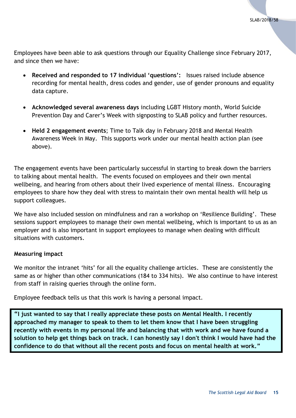Employees have been able to ask questions through our Equality Challenge since February 2017, and since then we have:

- **Received and responded to 17 individual 'questions':** Issues raised include absence recording for mental health, dress codes and gender, use of gender pronouns and equality data capture.
- **Acknowledged several awareness days** including LGBT History month, World Suicide Prevention Day and Carer's Week with signposting to SLAB policy and further resources.
- **Held 2 engagement events**; Time to Talk day in February 2018 and Mental Health Awareness Week in May. This supports work under our mental health action plan (see above).

The engagement events have been particularly successful in starting to break down the barriers to talking about mental health. The events focused on employees and their own mental wellbeing, and hearing from others about their lived experience of mental illness. Encouraging employees to share how they deal with stress to maintain their own mental health will help us support colleagues.

We have also included session on mindfulness and ran a workshop on 'Resilience Building'. These sessions support employees to manage their own mental wellbeing, which is important to us as an employer and is also important in support employees to manage when dealing with difficult situations with customers.

#### <span id="page-14-0"></span>**Measuring impact**

We monitor the intranet 'hits' for all the equality challenge articles. These are consistently the same as or higher than other communications (184 to 334 hits). We also continue to have interest from staff in raising queries through the online form.

Employee feedback tells us that this work is having a personal impact.

**"I just wanted to say that I really appreciate these posts on Mental Health. I recently approached my manager to speak to them to let them know that I have been struggling recently with events in my personal life and balancing that with work and we have found a solution to help get things back on track. I can honestly say I don't think I would have had the confidence to do that without all the recent posts and focus on mental health at work."**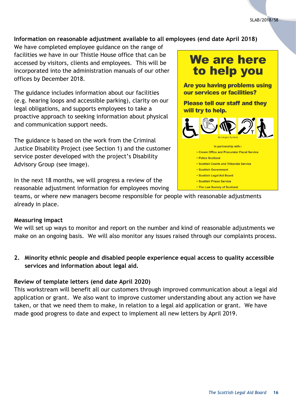## <span id="page-15-0"></span>**Information on reasonable adjustment available to all employees (end date April 2018)**

We have completed employee guidance on the range of facilities we have in our Thistle House office that can be accessed by visitors, clients and employees. This will be incorporated into the administration manuals of our other offices by December 2018.

The guidance includes information about our facilities (e.g. hearing loops and accessible parking), clarity on our legal obligations, and supports employees to take a proactive approach to seeking information about physical and communication support needs.

The guidance is based on the work from the Criminal Justice Disability Project (see Section 1) and the customer service poster developed with the project's Disability Advisory Group (see image).

In the next 18 months, we will progress a review of the reasonable adjustment information for employees moving

teams, or where new managers become responsible for people with reasonable adjustments already in place.

#### <span id="page-15-1"></span>**Measuring impact**

We will set up ways to monitor and report on the number and kind of reasonable adjustments we make on an ongoing basis. We will also monitor any issues raised through our complaints process.

<span id="page-15-2"></span>**2. Minority ethnic people and disabled people experience equal access to quality accessible services and information about legal aid.**

#### <span id="page-15-3"></span>**Review of template letters (end date April 2020)**

This workstream will benefit all our customers through improved communication about a legal aid application or grant. We also want to improve customer understanding about any action we have taken, or that we need them to make, in relation to a legal aid application or grant. We have made good progress to date and expect to implement all new letters by April 2019.

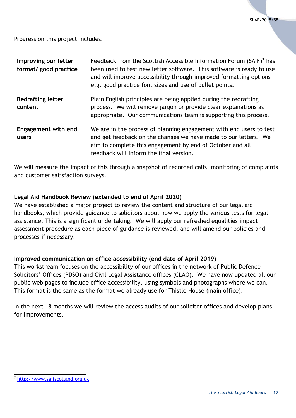Progress on this project includes:

| Improving our letter<br>format/ good practice | Feedback from the Scottish Accessible Information Forum (SAIF) <sup>7</sup> has<br>been used to test new letter software. This software is ready to use<br>and will improve accessibility through improved formatting options<br>e.g. good practice font sizes and use of bullet points. |
|-----------------------------------------------|------------------------------------------------------------------------------------------------------------------------------------------------------------------------------------------------------------------------------------------------------------------------------------------|
| <b>Redrafting letter</b><br>content           | Plain English principles are being applied during the redrafting<br>process. We will remove jargon or provide clear explanations as<br>appropriate. Our communications team is supporting this process.                                                                                  |
| Engagement with end<br>users                  | We are in the process of planning engagement with end users to test<br>and get feedback on the changes we have made to our letters. We<br>aim to complete this engagement by end of October and all<br>feedback will inform the final version.                                           |

We will measure the impact of this through a snapshot of recorded calls, monitoring of complaints and customer satisfaction surveys.

## <span id="page-16-0"></span>**Legal Aid Handbook Review (extended to end of April 2020)**

We have established a major project to review the content and structure of our legal aid handbooks, which provide guidance to solicitors about how we apply the various tests for legal assistance. This is a significant undertaking. We will apply our refreshed equalities impact assessment procedure as each piece of guidance is reviewed, and will amend our policies and processes if necessary.

## <span id="page-16-1"></span>**Improved communication on office accessibility (end date of April 2019)**

This workstream focuses on the accessibility of our offices in the network of Public Defence Solicitors' Offices (PDSO) and Civil Legal Assistance offices (CLAO). We have now updated all our public web pages to include office accessibility, using symbols and photographs where we can. This format is the same as the format we already use for Thistle House (main office).

In the next 18 months we will review the access audits of our solicitor offices and develop plans for improvements.

l

<sup>7</sup> [http://www.saifscotland.org.uk](http://www.saifscotland.org.uk/)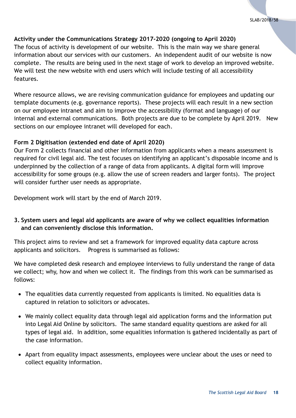## <span id="page-17-0"></span>**Activity under the Communications Strategy 2017-2020 (ongoing to April 2020)**

The focus of activity is development of our website. This is the main way we share general information about our services with our customers. An independent audit of our website is now complete. The results are being used in the next stage of work to develop an improved website. We will test the new website with end users which will include testing of all accessibility features.

Where resource allows, we are revising communication guidance for employees and updating our template documents (e.g. governance reports). These projects will each result in a new section on our employee intranet and aim to improve the accessibility (format and language) of our internal and external communications. Both projects are due to be complete by April 2019. New sections on our employee intranet will developed for each.

## <span id="page-17-1"></span>**Form 2 Digitisation (extended end date of April 2020)**

Our Form 2 collects financial and other information from applicants when a means assessment is required for civil legal aid. The test focuses on identifying an applicant's disposable income and is underpinned by the collection of a range of data from applicants. A digital form will improve accessibility for some groups (e.g. allow the use of screen readers and larger fonts). The project will consider further user needs as appropriate.

Development work will start by the end of March 2019.

## <span id="page-17-2"></span>**3. System users and legal aid applicants are aware of why we collect equalities information and can conveniently disclose this information.**

This project aims to review and set a framework for improved equality data capture across applicants and solicitors. Progress is summarised as follows:

We have completed desk research and employee interviews to fully understand the range of data we collect; why, how and when we collect it. The findings from this work can be summarised as follows:

- The equalities data currently requested from applicants is limited. No equalities data is captured in relation to solicitors or advocates.
- We mainly collect equality data through legal aid application forms and the information put into Legal Aid Online by solicitors. The same standard equality questions are asked for all types of legal aid. In addition, some equalities information is gathered incidentally as part of the case information.
- Apart from equality impact assessments, employees were unclear about the uses or need to collect equality information.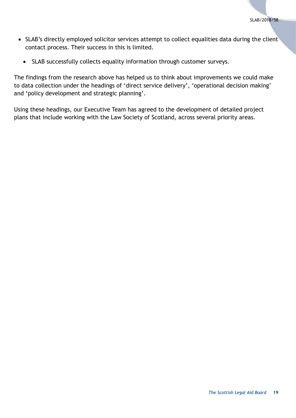- SLAB's directly employed solicitor services attempt to collect equalities data during the client contact process. Their success in this is limited.
	- SLAB successfully collects equality information through customer surveys.

The findings from the research above has helped us to think about improvements we could make to data collection under the headings of 'direct service delivery', 'operational decision making' and 'policy development and strategic planning'.

Using these headings, our Executive Team has agreed to the development of detailed project plans that include working with the Law Society of Scotland, across several priority areas.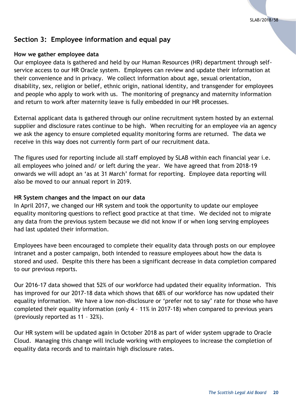## <span id="page-19-0"></span>**Section 3: Employee information and equal pay**

#### <span id="page-19-1"></span>**How we gather employee data**

Our employee data is gathered and held by our Human Resources (HR) department through selfservice access to our HR Oracle system. Employees can review and update their information at their convenience and in privacy. We collect information about age, sexual orientation, disability, sex, religion or belief, ethnic origin, national identity, and transgender for employees and people who apply to work with us. The monitoring of pregnancy and maternity information and return to work after maternity leave is fully embedded in our HR processes.

External applicant data is gathered through our online recruitment system hosted by an external supplier and disclosure rates continue to be high. When recruiting for an employee via an agency we ask the agency to ensure completed equality monitoring forms are returned. The data we receive in this way does not currently form part of our recruitment data.

The figures used for reporting include all staff employed by SLAB within each financial year i.e. all employees who joined and/ or left during the year. We have agreed that from 2018-19 onwards we will adopt an 'as at 31 March' format for reporting. Employee data reporting will also be moved to our annual report in 2019.

#### <span id="page-19-2"></span>**HR System changes and the impact on our data**

In April 2017, we changed our HR system and took the opportunity to update our employee equality monitoring questions to reflect good practice at that time. We decided not to migrate any data from the previous system because we did not know if or when long serving employees had last updated their information.

Employees have been encouraged to complete their equality data through posts on our employee intranet and a poster campaign, both intended to reassure employees about how the data is stored and used. Despite this there has been a significant decrease in data completion compared to our previous reports.

Our 2016-17 data showed that 52% of our workforce had updated their equality information. This has improved for our 2017-18 data which shows that 68% of our workforce has now updated their equality information. We have a low non-disclosure or 'prefer not to say' rate for those who have completed their equality information (only 4 – 11% in 2017-18) when compared to previous years (previously reported as 11 – 32%).

Our HR system will be updated again in October 2018 as part of wider system upgrade to Oracle Cloud. Managing this change will include working with employees to increase the completion of equality data records and to maintain high disclosure rates.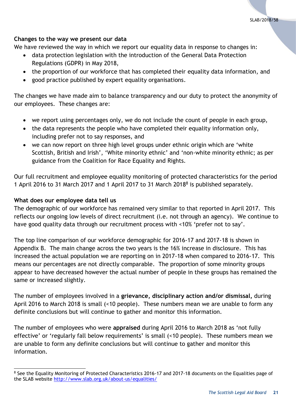## <span id="page-20-0"></span>**Changes to the way we present our data**

We have reviewed the way in which we report our equality data in response to changes in:

- data protection legislation with the introduction of the General Data Protection Regulations (GDPR) in May 2018,
- the proportion of our workforce that has completed their equality data information, and
- good practice published by expert equality organisations.

The changes we have made aim to balance transparency and our duty to protect the anonymity of our employees. These changes are:

- we report using percentages only, we do not include the count of people in each group,
- the data represents the people who have completed their equality information only, including prefer not to say responses, and
- we can now report on three high level groups under ethnic origin which are 'white Scottish, British and Irish', 'White minority ethnic' and 'non-white minority ethnic; as per guidance from the Coalition for Race Equality and Rights.

Our full recruitment and employee equality monitoring of protected characteristics for the period 1 April 2016 to 31 March 2017 and 1 April 2017 to 31 March 2018 8 is published separately.

#### <span id="page-20-1"></span>**What does our employee data tell us**

The demographic of our workforce has remained very similar to that reported in April 2017. This reflects our ongoing low levels of direct recruitment (i.e. not through an agency). We continue to have good quality data through our recruitment process with <10% 'prefer not to say'.

The top line comparison of our workforce demographic for 2016-17 and 2017-18 is shown in Appendix B. The main change across the two years is the 16% increase in disclosure. This has increased the actual population we are reporting on in 2017-18 when compared to 2016-17. This means our percentages are not directly comparable. The proportion of some minority groups appear to have decreased however the actual number of people in these groups has remained the same or increased slightly.

The number of employees involved in a **grievance, disciplinary action and/or dismissal,** during April 2016 to March 2018 is small (<10 people). These numbers mean we are unable to form any definite conclusions but will continue to gather and monitor this information.

The number of employees who were **appraised** during April 2016 to March 2018 as 'not fully effective' or 'regularly fall below requirements' is small (<10 people). These numbers mean we are unable to form any definite conclusions but will continue to gather and monitor this information.

l <sup>8</sup> See the Equality Monitoring of Protected Characteristics 2016-17 and 2017-18 documents on the Equalities page of the SLAB website<http://www.slab.org.uk/about-us/equalities/>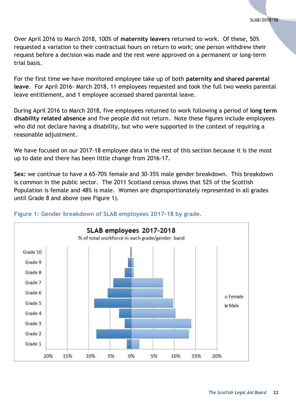Over April 2016 to March 2018, 100% of **maternity leavers** returned to work. Of these, 50% requested a variation to their contractual hours on return to work; one person withdrew their request before a decision was made and the rest were approved on a permanent or long-term trial basis.

For the first time we have monitored employee take up of both **paternity and shared parental leave**. For April 2016- March 2018, 11 employees requested and took the full two weeks parental leave entitlement, and 1 employee accessed shared parental leave.

During April 2016 to March 2018, five employees returned to work following a period of **long term disability related absence** and five people did not return. Note these figures include employees who did not declare having a disability, but who were supported in the context of requiring a reasonable adjustment.

We have focused on our 2017-18 employee data in the rest of this section because it is the most up to date and there has been little change from 2016-17.

**Sex:** we continue to have a 65-70% female and 30-35% male gender breakdown. This breakdown is common in the public sector. The 2011 Scotland census shows that 52% of the Scottish Population is female and 48% is male. Women are disproportionately represented in all grades until Grade 8 and above (see Figure 1).



#### **Figure 1: Gender breakdown of SLAB employees 2017-18 by grade.**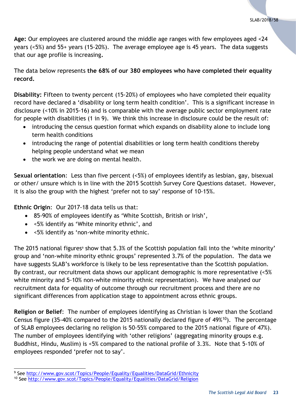**Age:** Our employees are clustered around the middle age ranges with few employees aged <24 years (<5%) and 55+ years (15-20%).The average employee age is 45 years. The data suggests that our age profile is increasing**.**

The data below represents **the 68% of our 380 employees who have completed their equality record.**

**Disability:** Fifteen to twenty percent (15-20%) of employees who have completed their equality record have declared a 'disability or long term health condition'. This is a significant increase in disclosure (<10% in 2015-16) and is comparable with the average public sector employment rate for people with disabilities (1 in 9). We think this increase in disclosure could be the result of:

- introducing the census question format which expands on disability alone to include long term health conditions
- introducing the range of potential disabilities or long term health conditions thereby helping people understand what we mean
- the work we are doing on mental health.

**Sexual orientation**: Less than five percent (<5%) of employees identify as lesbian, gay, bisexual or other/ unsure which is in line with the 2015 Scottish Survey Core Questions dataset. However, it is also the group with the highest 'prefer not to say' response of 10-15%.

**Ethnic Origin**: Our 2017-18 data tells us that:

- 85-90% of employees identify as 'White Scottish, British or Irish',
- <5% identify as 'White minority ethnic', and
- <5% identify as 'non-white minority ethnic.

The 2015 national figures<sup>9</sup> show that 5.3% of the Scottish population fall into the 'white minority' group and 'non-white minority ethnic groups' represented 3.7% of the population. The data we have suggests SLAB's workforce is likely to be less representative than the Scottish population. By contrast, our recruitment data shows our applicant demographic is more representative (<5% white minority and 5-10% non-white minority ethnic representation). We have analysed our recruitment data for equality of outcome through our recruitment process and there are no significant differences from application stage to appointment across ethnic groups.

**Religion or Belief**: The number of employees identifying as Christian is lower than the Scotland Census figure (35-40% compared to the 2015 nationally declared figure of 49%<sup>10</sup>). The percentage of SLAB employees declaring no religion is 50-55% compared to the 2015 national figure of 47%). The number of employees identifying with 'other religions' (aggregating minority groups e.g. Buddhist, Hindu, Muslim) is <5% compared to the national profile of 3.3%. Note that 5-10% of employees responded 'prefer not to say'.

l <sup>9</sup> See<http://www.gov.scot/Topics/People/Equality/Equalities/DataGrid/Ethnicity>

<sup>10</sup> See<http://www.gov.scot/Topics/People/Equality/Equalities/DataGrid/Religion>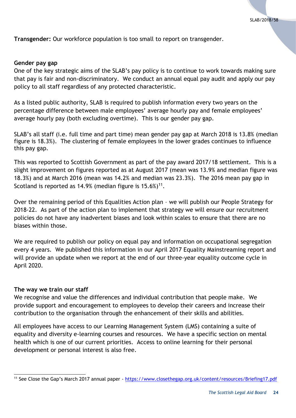**Transgender:** Our workforce population is too small to report on transgender.

#### <span id="page-23-0"></span>**Gender pay gap**

One of the key strategic aims of the SLAB's pay policy is to continue to work towards making sure that pay is fair and non-discriminatory. We conduct an annual equal pay audit and apply our pay policy to all staff regardless of any protected characteristic.

As a listed public authority, SLAB is required to publish information every two years on the percentage difference between male employees' average hourly pay and female employees' average hourly pay (both excluding overtime). This is our gender pay gap.

SLAB's all staff (i.e. full time and part time) mean gender pay gap at March 2018 is 13.8% (median figure is 18.3%). The clustering of female employees in the lower grades continues to influence this pay gap.

This was reported to Scottish Government as part of the pay award 2017/18 settlement. This is a slight improvement on figures reported as at August 2017 (mean was 13.9% and median figure was 18.3%) and at March 2016 (mean was 14.2% and median was 23.3%). The 2016 mean pay gap in Scotland is reported as 14.9% (median figure is  $15.6\%$ )<sup>11</sup>.

Over the remaining period of this Equalities Action plan – we will publish our People Strategy for 2018-22. As part of the action plan to implement that strategy we will ensure our recruitment policies do not have any inadvertent biases and look within scales to ensure that there are no biases within those.

We are required to publish our policy on equal pay and information on occupational segregation every 4 years. We published this information in our April 2017 Equality Mainstreaming report and will provide an update when we report at the end of our three-year equality outcome cycle in April 2020.

#### <span id="page-23-1"></span>**The way we train our staff**

l

We recognise and value the differences and individual contribution that people make. We provide support and encouragement to employees to develop their careers and increase their contribution to the organisation through the enhancement of their skills and abilities.

All employees have access to our Learning Management System (LMS) containing a suite of equality and diversity e-learning courses and resources. We have a specific section on mental health which is one of our current priorities. Access to online learning for their personal development or personal interest is also free.

<sup>11</sup> See Close the Gap's March 2017 annual paper - <https://www.closethegap.org.uk/content/resources/Briefing17.pdf>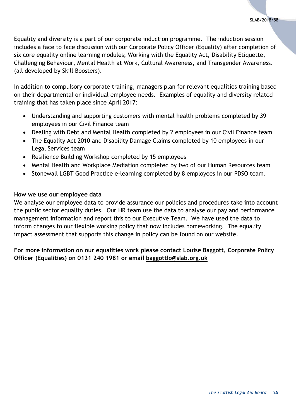Equality and diversity is a part of our corporate induction programme. The induction session includes a face to face discussion with our Corporate Policy Officer (Equality) after completion of six core equality online learning modules; Working with the Equality Act, Disability Etiquette, Challenging Behaviour, Mental Health at Work, Cultural Awareness, and Transgender Awareness. (all developed by Skill Boosters).

In addition to compulsory corporate training, managers plan for relevant equalities training based on their departmental or individual employee needs. Examples of equality and diversity related training that has taken place since April 2017:

- Understanding and supporting customers with mental health problems completed by 39 employees in our Civil Finance team
- Dealing with Debt and Mental Health completed by 2 employees in our Civil Finance team
- The Equality Act 2010 and Disability Damage Claims completed by 10 employees in our Legal Services team
- Resilience Building Workshop completed by 15 employees
- Mental Health and Workplace Mediation completed by two of our Human Resources team
- Stonewall LGBT Good Practice e-learning completed by 8 employees in our PDSO team.

#### <span id="page-24-0"></span>**How we use our employee data**

We analyse our employee data to provide assurance our policies and procedures take into account the public sector equality duties. Our HR team use the data to analyse our pay and performance management information and report this to our Executive Team. We have used the data to inform changes to our flexible working policy that now includes homeworking. The equality impact assessment that supports this change in policy can be found on our website.

## **For more information on our equalities work please contact Louise Baggott, Corporate Policy Officer (Equalities) on 0131 240 1981 or email [baggottlo@slab.org.uk](mailto:baggottlo@slab.org.uk)**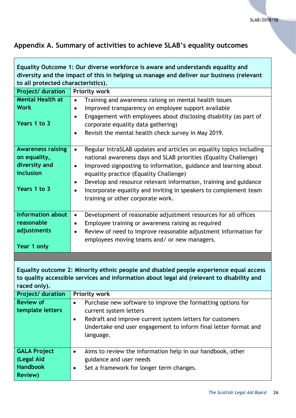٦

## <span id="page-25-0"></span>**Appendix A. Summary of activities to achieve SLAB's equality outcomes**

| Equality Outcome 1: Our diverse workforce is aware and understands equality and                                                                                                                      |                                                                                                                                                                                                                                                                                                                                                                                                                                                              |  |  |  |
|------------------------------------------------------------------------------------------------------------------------------------------------------------------------------------------------------|--------------------------------------------------------------------------------------------------------------------------------------------------------------------------------------------------------------------------------------------------------------------------------------------------------------------------------------------------------------------------------------------------------------------------------------------------------------|--|--|--|
| diversity and the impact of this in helping us manage and deliver our business (relevant<br>to all protected characteristics).                                                                       |                                                                                                                                                                                                                                                                                                                                                                                                                                                              |  |  |  |
| Project/ duration                                                                                                                                                                                    | Priority work                                                                                                                                                                                                                                                                                                                                                                                                                                                |  |  |  |
| <b>Mental Health at</b>                                                                                                                                                                              | Training and awareness raising on mental health issues<br>$\bullet$                                                                                                                                                                                                                                                                                                                                                                                          |  |  |  |
| <b>Work</b>                                                                                                                                                                                          | Improved transparency on employee support available<br>$\bullet$                                                                                                                                                                                                                                                                                                                                                                                             |  |  |  |
| Years 1 to 3                                                                                                                                                                                         | Engagement with employees about disclosing disability (as part of<br>corporate equality data gathering)<br>Revisit the mental health check survey in May 2019.                                                                                                                                                                                                                                                                                               |  |  |  |
| <b>Awareness raising</b><br>on equality,<br>diversity and<br>inclusion<br>Years 1 to 3                                                                                                               | Regular IntraSLAB updates and articles on equality topics including<br>$\bullet$<br>national awareness days and SLAB priorities (Equality Challenge)<br>Improved signposting to information, guidance and learning about<br>$\bullet$<br>equality practice (Equality Challenge)<br>Develop and resource relevant information, training and guidance<br>Incorporate equality and inviting in speakers to complement team<br>training or other corporate work. |  |  |  |
|                                                                                                                                                                                                      |                                                                                                                                                                                                                                                                                                                                                                                                                                                              |  |  |  |
| <b>Information about</b>                                                                                                                                                                             | Development of reasonable adjustment resources for all offices<br>$\bullet$                                                                                                                                                                                                                                                                                                                                                                                  |  |  |  |
| reasonable                                                                                                                                                                                           | Employee training or awareness raising as required                                                                                                                                                                                                                                                                                                                                                                                                           |  |  |  |
| adjustments                                                                                                                                                                                          | Review of need to improve reasonable adjustment information for<br>$\bullet$                                                                                                                                                                                                                                                                                                                                                                                 |  |  |  |
| Year 1 only                                                                                                                                                                                          | employees moving teams and/ or new managers.                                                                                                                                                                                                                                                                                                                                                                                                                 |  |  |  |
|                                                                                                                                                                                                      |                                                                                                                                                                                                                                                                                                                                                                                                                                                              |  |  |  |
| Equality outcome 2: Minority ethnic people and disabled people experience equal access<br>to quality accessible services and information about legal aid (relevant to disability and<br>raced only). |                                                                                                                                                                                                                                                                                                                                                                                                                                                              |  |  |  |
| Project/ duration                                                                                                                                                                                    | <b>Priority work</b>                                                                                                                                                                                                                                                                                                                                                                                                                                         |  |  |  |
| <b>Review of</b><br>template letters                                                                                                                                                                 | Purchase new software to improve the formatting options for<br>$\bullet$<br>current system letters<br>Redraft and improve current system letters for customers<br>$\bullet$<br>Undertake end user engagement to inform final letter format and<br>language.                                                                                                                                                                                                  |  |  |  |
| <b>GALA Project</b><br>(Legal Aid<br><b>Handbook</b><br><b>Review)</b>                                                                                                                               | Aims to review the information help in our handbook, other<br>$\bullet$<br>guidance and user needs<br>Set a framework for longer term changes.<br>٠                                                                                                                                                                                                                                                                                                          |  |  |  |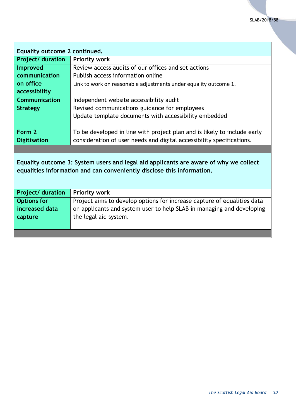| Equality outcome 2 continued.                                                                                                                                   |                                                                          |  |  |
|-----------------------------------------------------------------------------------------------------------------------------------------------------------------|--------------------------------------------------------------------------|--|--|
| <b>Project/ duration</b>                                                                                                                                        | <b>Priority work</b>                                                     |  |  |
| Improved                                                                                                                                                        | Review access audits of our offices and set actions                      |  |  |
| communication                                                                                                                                                   | Publish access information online                                        |  |  |
| on office                                                                                                                                                       | Link to work on reasonable adjustments under equality outcome 1.         |  |  |
| accessibility                                                                                                                                                   |                                                                          |  |  |
| Communication                                                                                                                                                   | Independent website accessibility audit                                  |  |  |
| <b>Strategy</b>                                                                                                                                                 | Revised communications guidance for employees                            |  |  |
|                                                                                                                                                                 | Update template documents with accessibility embedded                    |  |  |
|                                                                                                                                                                 |                                                                          |  |  |
| Form 2                                                                                                                                                          | To be developed in line with project plan and is likely to include early |  |  |
| <b>Digitisation</b>                                                                                                                                             | consideration of user needs and digital accessibility specifications.    |  |  |
|                                                                                                                                                                 |                                                                          |  |  |
| Equality outcome 3: System users and legal aid applicants are aware of why we collect<br>equalities information and can conveniently disclose this information. |                                                                          |  |  |
| <b>Project/ duration</b>                                                                                                                                        | <b>Priority work</b>                                                     |  |  |
| <b>Options for</b>                                                                                                                                              | Project aims to develop options for increase capture of equalities data  |  |  |
| increased data                                                                                                                                                  | on applicants and system user to help SLAB in managing and developing    |  |  |
| capture                                                                                                                                                         | the legal aid system.                                                    |  |  |
|                                                                                                                                                                 |                                                                          |  |  |
|                                                                                                                                                                 |                                                                          |  |  |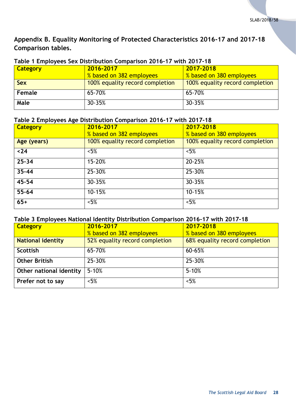## <span id="page-27-0"></span>**Appendix B. Equality Monitoring of Protected Characteristics 2016-17 and 2017-18 Comparison tables.**

| $\overline{1}$ able to minimize the state of the state of the state $\overline{1}$ . The state of the state of the state of the state of the state of the state of the state of the state of the state of the state of the state of the s |                                 |                                 |  |  |
|-------------------------------------------------------------------------------------------------------------------------------------------------------------------------------------------------------------------------------------------|---------------------------------|---------------------------------|--|--|
| Category                                                                                                                                                                                                                                  | 2016-2017                       | 2017-2018                       |  |  |
|                                                                                                                                                                                                                                           | % based on 382 employees        | % based on 380 employees        |  |  |
| <b>Sex</b>                                                                                                                                                                                                                                | 100% equality record completion | 100% equality record completion |  |  |
| Female                                                                                                                                                                                                                                    | 65-70%                          | 65-70%                          |  |  |
| Male                                                                                                                                                                                                                                      | 30-35%                          | 30-35%                          |  |  |

#### <span id="page-27-1"></span>**Table 1 Employees Sex Distribution Comparison 2016-17 with 2017-18**

## <span id="page-27-2"></span>**Table 2 Employees Age Distribution Comparison 2016-17 with 2017-18**

| <b>Category</b> | 2016-2017                       | 2017-2018                       |
|-----------------|---------------------------------|---------------------------------|
|                 | % based on 382 employees        | % based on 380 employees        |
| Age (years)     | 100% equality record completion | 100% equality record completion |
| $24$            | $< 5\%$                         | $< 5\%$                         |
| $25 - 34$       | 15-20%                          | 20-25%                          |
| $35 - 44$       | 25-30%                          | 25-30%                          |
| 45-54           | 30-35%                          | 30-35%                          |
| $55 - 64$       | 10-15%                          | 10-15%                          |
| $65+$           | $< 5\%$                         | $< 5\%$                         |

#### <span id="page-27-3"></span>**Table 3 Employees National Identity Distribution Comparison 2016-17 with 2017-18**

| <b>Category</b>          | 2016-2017                      | 2017-2018                      |
|--------------------------|--------------------------------|--------------------------------|
|                          | % based on 382 employees       | % based on 380 employees       |
| <b>National identity</b> | 52% equality record completion | 68% equality record completion |
| <b>Scottish</b>          | 65-70%                         | 60-65%                         |
| <b>Other British</b>     | 25-30%                         | 25-30%                         |
| Other national identity  | $5 - 10%$                      | $5 - 10%$                      |
| Prefer not to say        | $< 5\%$                        | $< 5\%$                        |